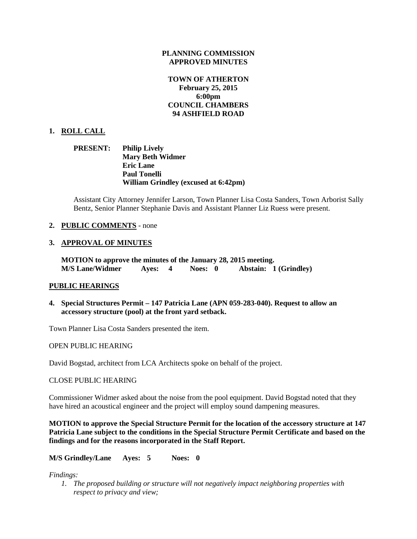#### **PLANNING COMMISSION APPROVED MINUTES**

# **TOWN OF ATHERTON February 25, 2015 6:00pm COUNCIL CHAMBERS 94 ASHFIELD ROAD**

### **1. ROLL CALL**

# **PRESENT: Philip Lively Mary Beth Widmer Eric Lane Paul Tonelli William Grindley (excused at 6:42pm)**

Assistant City Attorney Jennifer Larson, Town Planner Lisa Costa Sanders, Town Arborist Sally Bentz, Senior Planner Stephanie Davis and Assistant Planner Liz Ruess were present.

### **2. PUBLIC COMMENTS** - none

#### **3. APPROVAL OF MINUTES**

**MOTION to approve the minutes of the January 28, 2015 meeting. M/S Lane/Widmer Ayes: 4 Noes: 0 Abstain: 1 (Grindley)**

#### **PUBLIC HEARINGS**

**4. Special Structures Permit – 147 Patricia Lane (APN 059-283-040). Request to allow an accessory structure (pool) at the front yard setback.**

Town Planner Lisa Costa Sanders presented the item.

#### OPEN PUBLIC HEARING

David Bogstad, architect from LCA Architects spoke on behalf of the project.

CLOSE PUBLIC HEARING

Commissioner Widmer asked about the noise from the pool equipment. David Bogstad noted that they have hired an acoustical engineer and the project will employ sound dampening measures.

**MOTION to approve the Special Structure Permit for the location of the accessory structure at 147 Patricia Lane subject to the conditions in the Special Structure Permit Certificate and based on the findings and for the reasons incorporated in the Staff Report.**

**M/S Grindley/Lane Ayes: 5 Noes: 0**

*Findings:*

*1. The proposed building or structure will not negatively impact neighboring properties with respect to privacy and view;*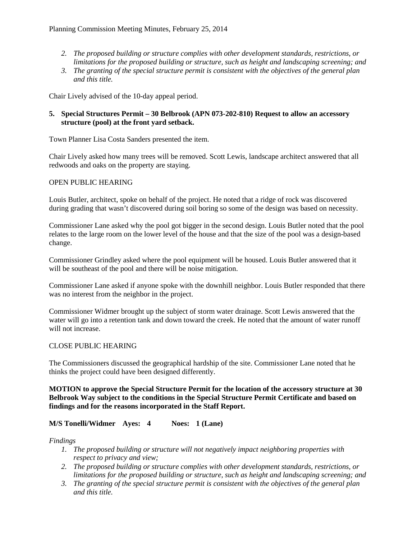- *2. The proposed building or structure complies with other development standards, restrictions, or limitations for the proposed building or structure, such as height and landscaping screening; and*
- *3. The granting of the special structure permit is consistent with the objectives of the general plan and this title.*

Chair Lively advised of the 10-day appeal period.

# **5. Special Structures Permit – 30 Belbrook (APN 073-202-810) Request to allow an accessory structure (pool) at the front yard setback.**

Town Planner Lisa Costa Sanders presented the item.

Chair Lively asked how many trees will be removed. Scott Lewis, landscape architect answered that all redwoods and oaks on the property are staying.

# OPEN PUBLIC HEARING

Louis Butler, architect, spoke on behalf of the project. He noted that a ridge of rock was discovered during grading that wasn't discovered during soil boring so some of the design was based on necessity.

Commissioner Lane asked why the pool got bigger in the second design. Louis Butler noted that the pool relates to the large room on the lower level of the house and that the size of the pool was a design-based change.

Commissioner Grindley asked where the pool equipment will be housed. Louis Butler answered that it will be southeast of the pool and there will be noise mitigation.

Commissioner Lane asked if anyone spoke with the downhill neighbor. Louis Butler responded that there was no interest from the neighbor in the project.

Commissioner Widmer brought up the subject of storm water drainage. Scott Lewis answered that the water will go into a retention tank and down toward the creek. He noted that the amount of water runoff will not increase.

### CLOSE PUBLIC HEARING

The Commissioners discussed the geographical hardship of the site. Commissioner Lane noted that he thinks the project could have been designed differently.

**MOTION to approve the Special Structure Permit for the location of the accessory structure at 30 Belbrook Way subject to the conditions in the Special Structure Permit Certificate and based on findings and for the reasons incorporated in the Staff Report.**

# **M/S Tonelli/Widmer Ayes: 4 Noes: 1 (Lane)**

### *Findings*

- *1. The proposed building or structure will not negatively impact neighboring properties with respect to privacy and view;*
- *2. The proposed building or structure complies with other development standards, restrictions, or limitations for the proposed building or structure, such as height and landscaping screening; and*
- *3. The granting of the special structure permit is consistent with the objectives of the general plan and this title.*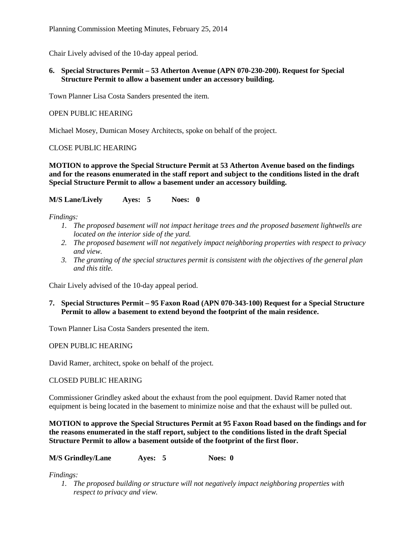Chair Lively advised of the 10-day appeal period.

**6. Special Structures Permit – 53 Atherton Avenue (APN 070-230-200). Request for Special Structure Permit to allow a basement under an accessory building.**

Town Planner Lisa Costa Sanders presented the item.

OPEN PUBLIC HEARING

Michael Mosey, Dumican Mosey Architects, spoke on behalf of the project.

# CLOSE PUBLIC HEARING

**MOTION to approve the Special Structure Permit at 53 Atherton Avenue based on the findings and for the reasons enumerated in the staff report and subject to the conditions listed in the draft Special Structure Permit to allow a basement under an accessory building.**

**M/S Lane/Lively Ayes: 5 Noes: 0**

*Findings:*

- *1. The proposed basement will not impact heritage trees and the proposed basement lightwells are located on the interior side of the yard.*
- *2. The proposed basement will not negatively impact neighboring properties with respect to privacy and view.*
- *3. The granting of the special structures permit is consistent with the objectives of the general plan and this title.*

Chair Lively advised of the 10-day appeal period.

**7. Special Structures Permit – 95 Faxon Road (APN 070-343-100) Request for a Special Structure Permit to allow a basement to extend beyond the footprint of the main residence.**

Town Planner Lisa Costa Sanders presented the item.

OPEN PUBLIC HEARING

David Ramer, architect, spoke on behalf of the project.

CLOSED PUBLIC HEARING

Commissioner Grindley asked about the exhaust from the pool equipment. David Ramer noted that equipment is being located in the basement to minimize noise and that the exhaust will be pulled out.

**MOTION to approve the Special Structures Permit at 95 Faxon Road based on the findings and for the reasons enumerated in the staff report, subject to the conditions listed in the draft Special Structure Permit to allow a basement outside of the footprint of the first floor.**

**M/S Grindley/Lane Ayes: 5 Noes: 0**

*Findings:*

*1. The proposed building or structure will not negatively impact neighboring properties with respect to privacy and view.*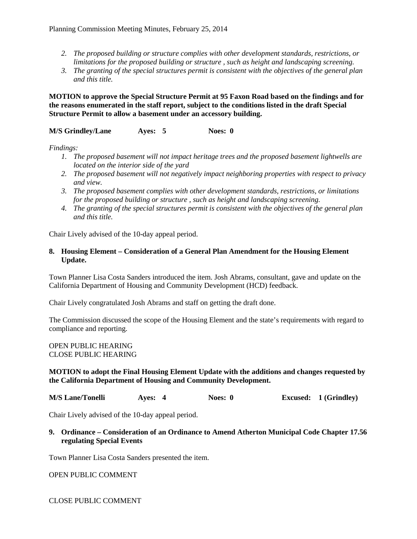- *2. The proposed building or structure complies with other development standards, restrictions, or limitations for the proposed building or structure , such as height and landscaping screening.*
- *3. The granting of the special structures permit is consistent with the objectives of the general plan and this title.*

**MOTION to approve the Special Structure Permit at 95 Faxon Road based on the findings and for the reasons enumerated in the staff report, subject to the conditions listed in the draft Special Structure Permit to allow a basement under an accessory building.**

#### **M/S Grindley/Lane Ayes: 5 Noes: 0**

*Findings:*

- *1. The proposed basement will not impact heritage trees and the proposed basement lightwells are located on the interior side of the yard*
- *2. The proposed basement will not negatively impact neighboring properties with respect to privacy and view.*
- *3. The proposed basement complies with other development standards, restrictions, or limitations for the proposed building or structure , such as height and landscaping screening.*
- *4. The granting of the special structures permit is consistent with the objectives of the general plan and this title.*

Chair Lively advised of the 10-day appeal period.

### **8. Housing Element – Consideration of a General Plan Amendment for the Housing Element Update.**

Town Planner Lisa Costa Sanders introduced the item. Josh Abrams, consultant, gave and update on the California Department of Housing and Community Development (HCD) feedback.

Chair Lively congratulated Josh Abrams and staff on getting the draft done.

The Commission discussed the scope of the Housing Element and the state's requirements with regard to compliance and reporting.

OPEN PUBLIC HEARING CLOSE PUBLIC HEARING

# **MOTION to adopt the Final Housing Element Update with the additions and changes requested by the California Department of Housing and Community Development.**

**M/S Lane/Tonelli Ayes: 4 Noes: 0 Excused: 1 (Grindley)**

Chair Lively advised of the 10-day appeal period.

#### **9. Ordinance – Consideration of an Ordinance to Amend Atherton Municipal Code Chapter 17.56 regulating Special Events**

Town Planner Lisa Costa Sanders presented the item.

OPEN PUBLIC COMMENT

CLOSE PUBLIC COMMENT